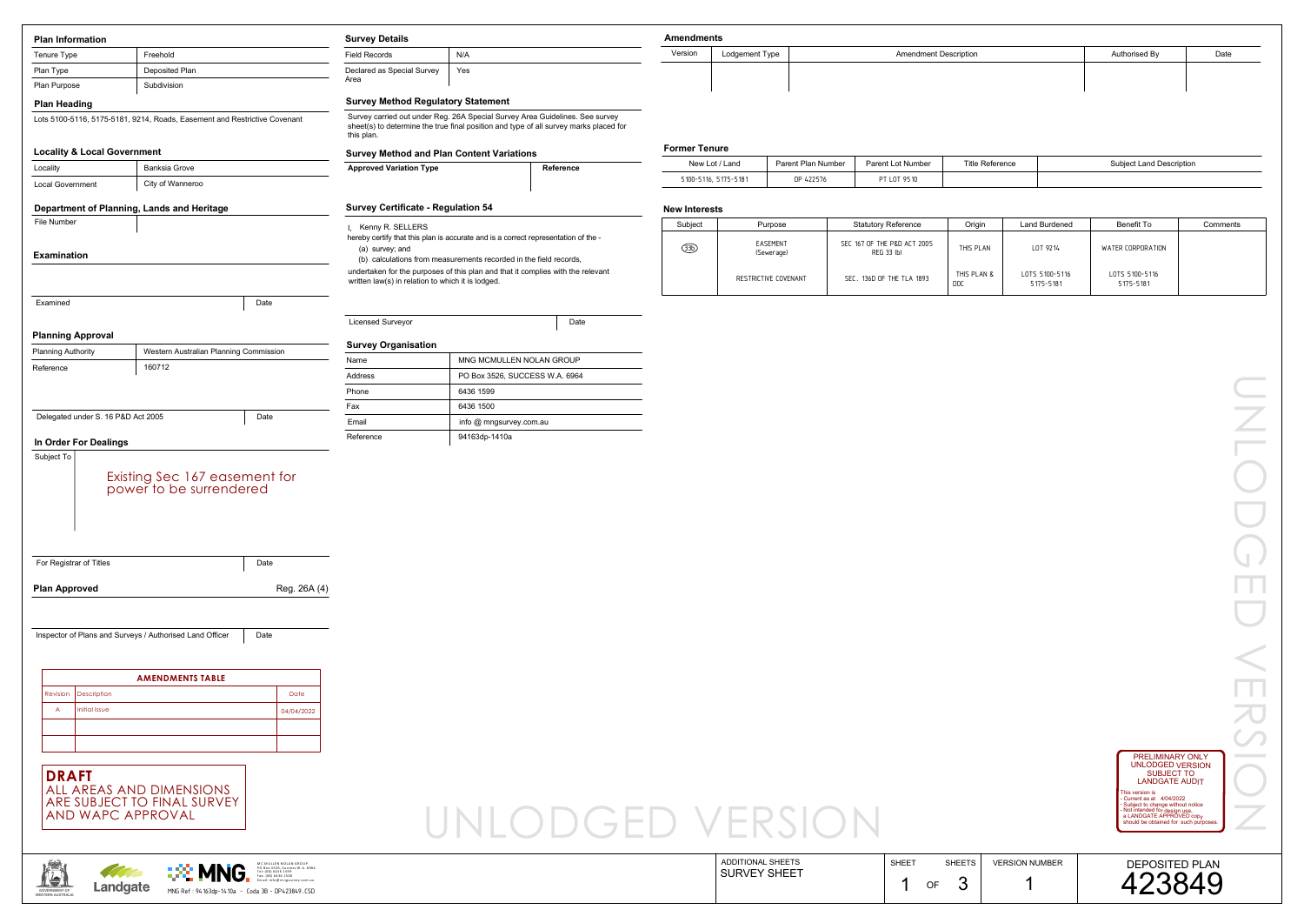|  |  | VERSION |  |
|--|--|---------|--|
|  |  |         |  |



**GOVERNMENT OFWESTERN AUSTRALIA**

## ments

| Iments         |                              |               |      |  |  |  |  |  |  |
|----------------|------------------------------|---------------|------|--|--|--|--|--|--|
| Lodgement Type | <b>Amendment Description</b> | Authorised By | Date |  |  |  |  |  |  |
|                |                              |               |      |  |  |  |  |  |  |
|                |                              |               |      |  |  |  |  |  |  |

| <b>Plan Information</b>                |                                                                           | <b>Survey Details</b> |                                                   | <b>Amendments</b>                                                                                                                                                     |           |                      |                      |                    |                              |                        |                      |                                                                                                  |                                   |
|----------------------------------------|---------------------------------------------------------------------------|-----------------------|---------------------------------------------------|-----------------------------------------------------------------------------------------------------------------------------------------------------------------------|-----------|----------------------|----------------------|--------------------|------------------------------|------------------------|----------------------|--------------------------------------------------------------------------------------------------|-----------------------------------|
| Tenure Type                            | Freehold                                                                  |                       | <b>Field Records</b>                              | N/A                                                                                                                                                                   |           | Version              | Lodgement Type       |                    | <b>Amendment Description</b> |                        |                      | Authorised By                                                                                    | Date                              |
| Plan Type                              | Deposited Plan                                                            |                       | Declared as Special Survey                        | Yes                                                                                                                                                                   |           |                      |                      |                    |                              |                        |                      |                                                                                                  |                                   |
| Plan Purpose                           | Subdivision                                                               |                       | Area                                              |                                                                                                                                                                       |           |                      |                      |                    |                              |                        |                      |                                                                                                  |                                   |
| <b>Plan Heading</b>                    |                                                                           |                       | <b>Survey Method Regulatory Statement</b>         |                                                                                                                                                                       |           |                      |                      |                    |                              |                        |                      |                                                                                                  |                                   |
|                                        | Lots 5100-5116, 5175-5181, 9214, Roads, Easement and Restrictive Covenant |                       | this plan.                                        | Survey carried out under Reg. 26A Special Survey Area Guidelines. See survey<br>sheet(s) to determine the true final position and type of all survey marks placed for |           |                      |                      |                    |                              |                        |                      |                                                                                                  |                                   |
| <b>Locality &amp; Local Government</b> |                                                                           |                       | <b>Survey Method and Plan Content Variations</b>  |                                                                                                                                                                       |           | <b>Former Tenure</b> |                      |                    |                              |                        |                      |                                                                                                  |                                   |
| Locality                               | <b>Banksia Grove</b>                                                      |                       | <b>Approved Variation Type</b>                    |                                                                                                                                                                       | Reference | New Lot / Land       |                      | Parent Plan Number | Parent Lot Number            | <b>Title Reference</b> |                      | <b>Subject Land Description</b>                                                                  |                                   |
| <b>Local Government</b>                | City of Wanneroo                                                          |                       |                                                   |                                                                                                                                                                       |           | 5100-5116, 5175-5181 |                      | DP 422576          | PT LOT 9510                  |                        |                      |                                                                                                  |                                   |
|                                        | Department of Planning, Lands and Heritage                                |                       | <b>Survey Certificate - Regulation 54</b>         |                                                                                                                                                                       |           | <b>New Interests</b> |                      |                    |                              |                        |                      |                                                                                                  |                                   |
| File Number                            |                                                                           |                       | Kenny R. SELLERS                                  |                                                                                                                                                                       |           | Subject              | Purpose              |                    | <b>Statutory Reference</b>   | Origin                 | <b>Land Burdened</b> | <b>Benefit To</b>                                                                                | Comments                          |
|                                        |                                                                           |                       |                                                   | hereby certify that this plan is accurate and is a correct representation of the -                                                                                    |           |                      | EASEMENT             |                    | SEC 167 OF THE P&D ACT 2005  |                        |                      |                                                                                                  |                                   |
| <b>Examination</b>                     |                                                                           |                       | (a) survey; and                                   | (b) calculations from measurements recorded in the field records,                                                                                                     |           | $\circled{3D}$       | (Sewerage)           |                    | REG 33 (b)                   | THIS PLAN              | LOT 9214             | WATER CORPORATION                                                                                |                                   |
|                                        |                                                                           |                       |                                                   | undertaken for the purposes of this plan and that it complies with the relevant                                                                                       |           |                      |                      |                    |                              | THIS PLAN &            | LOTS 5100-5116       | LOTS 5100-5116                                                                                   |                                   |
|                                        |                                                                           |                       | written law(s) in relation to which it is lodged. |                                                                                                                                                                       |           |                      | RESTRICTIVE COVENANT |                    | SEC. 136D OF THE TLA 1893    | <b>DOC</b>             | 5175-5181            | 5175-5181                                                                                        |                                   |
| Examined                               |                                                                           | Date                  |                                                   |                                                                                                                                                                       |           |                      |                      |                    |                              |                        |                      |                                                                                                  |                                   |
|                                        |                                                                           |                       | <b>Licensed Surveyor</b>                          |                                                                                                                                                                       | Date      |                      |                      |                    |                              |                        |                      |                                                                                                  |                                   |
| <b>Planning Approval</b>               |                                                                           |                       | <b>Survey Organisation</b>                        |                                                                                                                                                                       |           |                      |                      |                    |                              |                        |                      |                                                                                                  |                                   |
| <b>Planning Authority</b>              | Western Australian Planning Commission                                    |                       | Name                                              | MNG MCMULLEN NOLAN GROUP                                                                                                                                              |           |                      |                      |                    |                              |                        |                      |                                                                                                  |                                   |
| Reference                              | 160712                                                                    |                       | Address                                           | PO Box 3526, SUCCESS W.A. 6964                                                                                                                                        |           |                      |                      |                    |                              |                        |                      |                                                                                                  | <b>Contract Contract</b>          |
|                                        |                                                                           |                       | Phone                                             | 6436 1599                                                                                                                                                             |           |                      |                      |                    |                              |                        |                      |                                                                                                  | <b>Contract Contract</b>          |
|                                        |                                                                           |                       | Fax                                               | 6436 1500                                                                                                                                                             |           |                      |                      |                    |                              |                        |                      |                                                                                                  | <b>Contract Contract Contract</b> |
| Delegated under S. 16 P&D Act 2005     |                                                                           | Date                  | Email                                             | info @ mngsurvey.com.au                                                                                                                                               |           |                      |                      |                    |                              |                        |                      |                                                                                                  |                                   |
| In Order For Dealings                  |                                                                           |                       | Reference                                         | 94163dp-1410a                                                                                                                                                         |           |                      |                      |                    |                              |                        |                      |                                                                                                  |                                   |
| Subject To                             |                                                                           |                       |                                                   |                                                                                                                                                                       |           |                      |                      |                    |                              |                        |                      |                                                                                                  |                                   |
|                                        |                                                                           |                       |                                                   |                                                                                                                                                                       |           |                      |                      |                    |                              |                        |                      |                                                                                                  |                                   |
|                                        | Existing Sec 167 easement for<br>power to be surrendered                  |                       |                                                   |                                                                                                                                                                       |           |                      |                      |                    |                              |                        |                      |                                                                                                  |                                   |
|                                        |                                                                           |                       |                                                   |                                                                                                                                                                       |           |                      |                      |                    |                              |                        |                      |                                                                                                  |                                   |
|                                        |                                                                           |                       |                                                   |                                                                                                                                                                       |           |                      |                      |                    |                              |                        |                      |                                                                                                  |                                   |
|                                        |                                                                           |                       |                                                   |                                                                                                                                                                       |           |                      |                      |                    |                              |                        |                      |                                                                                                  |                                   |
| For Registrar of Titles                |                                                                           | Date                  |                                                   |                                                                                                                                                                       |           |                      |                      |                    |                              |                        |                      |                                                                                                  |                                   |
|                                        |                                                                           |                       |                                                   |                                                                                                                                                                       |           |                      |                      |                    |                              |                        |                      |                                                                                                  |                                   |
| <b>Plan Approved</b>                   |                                                                           | Reg. 26A (4)          |                                                   |                                                                                                                                                                       |           |                      |                      |                    |                              |                        |                      |                                                                                                  |                                   |
|                                        |                                                                           |                       |                                                   |                                                                                                                                                                       |           |                      |                      |                    |                              |                        |                      |                                                                                                  |                                   |
|                                        |                                                                           |                       |                                                   |                                                                                                                                                                       |           |                      |                      |                    |                              |                        |                      |                                                                                                  |                                   |
|                                        | Inspector of Plans and Surveys / Authorised Land Officer                  | Date                  |                                                   |                                                                                                                                                                       |           |                      |                      |                    |                              |                        |                      |                                                                                                  |                                   |
|                                        |                                                                           |                       |                                                   |                                                                                                                                                                       |           |                      |                      |                    |                              |                        |                      |                                                                                                  |                                   |
|                                        | <b>AMENDMENTS TABLE</b>                                                   |                       |                                                   |                                                                                                                                                                       |           |                      |                      |                    |                              |                        |                      |                                                                                                  |                                   |
| Revision<br>Description                |                                                                           | Date                  |                                                   |                                                                                                                                                                       |           |                      |                      |                    |                              |                        |                      |                                                                                                  |                                   |
| Initial Issue<br>A                     |                                                                           | 04/04/2022            |                                                   |                                                                                                                                                                       |           |                      |                      |                    |                              |                        |                      |                                                                                                  |                                   |
|                                        |                                                                           |                       |                                                   |                                                                                                                                                                       |           |                      |                      |                    |                              |                        |                      |                                                                                                  |                                   |
|                                        |                                                                           |                       |                                                   |                                                                                                                                                                       |           |                      |                      |                    |                              |                        |                      |                                                                                                  |                                   |
|                                        |                                                                           |                       |                                                   |                                                                                                                                                                       |           |                      |                      |                    |                              |                        |                      | <b>PRELIMINARY ONLY</b><br><b>UNLODGED VERSION</b>                                               |                                   |
| <b>DRAFT</b>                           |                                                                           |                       |                                                   |                                                                                                                                                                       |           |                      |                      |                    |                              |                        |                      | <b>SUBJECT TO</b><br><b>LANDGATE AUDIT</b>                                                       |                                   |
|                                        | ALL AREAS AND DIMENSIONS                                                  |                       |                                                   |                                                                                                                                                                       |           |                      |                      |                    |                              |                        |                      | This version is<br>- Current as at 4/04/2022                                                     |                                   |
|                                        | ARE SUBJECT TO FINAL SURVEY<br><b>AND WAPC APPROVAL</b>                   |                       |                                                   |                                                                                                                                                                       |           |                      |                      |                    |                              |                        |                      | - Subject to change without notice<br>- Not intended for design use,<br>a LANDGATE APPROVED copy |                                   |
|                                        |                                                                           |                       |                                                   | UNLODGED VERSION                                                                                                                                                      |           |                      |                      |                    |                              |                        |                      | should be obtained for such purposes                                                             |                                   |
|                                        |                                                                           |                       |                                                   |                                                                                                                                                                       |           |                      |                      |                    |                              |                        |                      |                                                                                                  |                                   |
|                                        |                                                                           |                       |                                                   |                                                                                                                                                                       |           |                      |                      |                    |                              |                        |                      |                                                                                                  |                                   |

 $\left\lceil \frac{\text{SURVET SHES}}{\text{MNG Ref. 94163dp-1410a - Coda 3B - DP423849.CSD}} \right\rceil$ MC MULLEN NOLAN GROUP<br>PO Box 3526, Success W.A. 6964<br>Tel: (08) 6436 1599<br>Fax: (08) 6436 1500<br>Email: info@mngsurvey.com.au

| New Lot / Land       | Parent Plan Number | <b>Parent Lot Number</b> | Title Reference | Subject Land Description |
|----------------------|--------------------|--------------------------|-----------------|--------------------------|
| 5100-5116, 5175-5181 | DP 422576          | PT LOT 9510              |                 |                          |

| Subject        | Purpose                | <b>Statutory Reference</b>                | Origin                    | Land Burdened               | Benefit To                  | Comments |
|----------------|------------------------|-------------------------------------------|---------------------------|-----------------------------|-----------------------------|----------|
| $\circled{3b}$ | EASEMENT<br>(Sewerage) | SEC 167 OF THE P&D ACT 2005<br>REG 33 (b) | THIS PLAN                 | LOT 9214                    | WATER CORPORATION           |          |
|                | RESTRICTIVE COVENANT   | SEC. 136D OF THE TLA 1893                 | THIS PLAN &<br><b>DOC</b> | LOTS 5100-5116<br>5175-5181 | LOTS 5100-5116<br>5175-5181 |          |

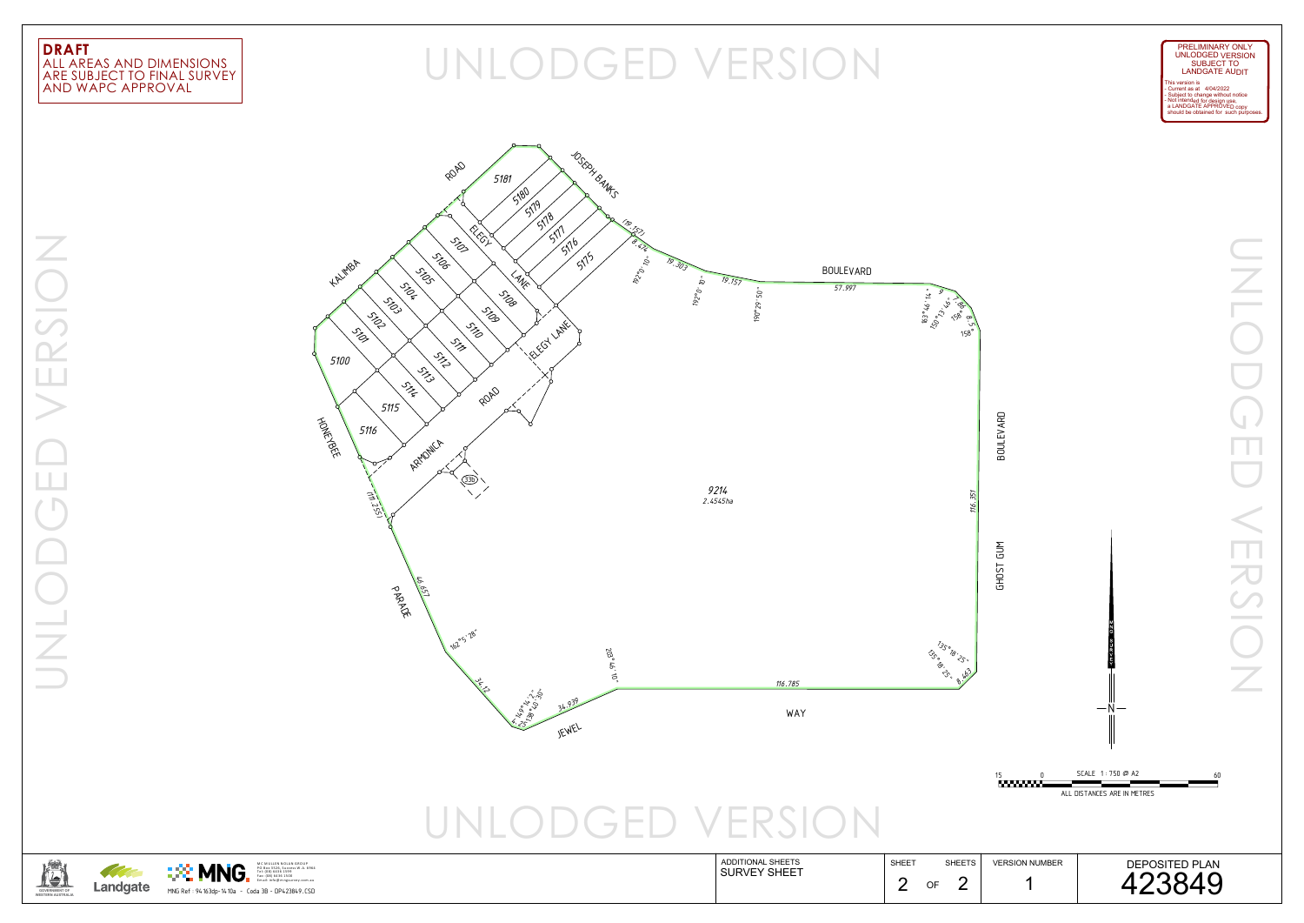## AND WAPC APPROVAL ARE SUBJECT TO FINAL SURVEY ALL AREAS AND DIMENSIONS



MNG Ref : 94163dp-1410a - Coda 3B - DP423849.CSD MC MULLEN NOLAN GROUP<br>PO Box 3526, Success W .A. 6964



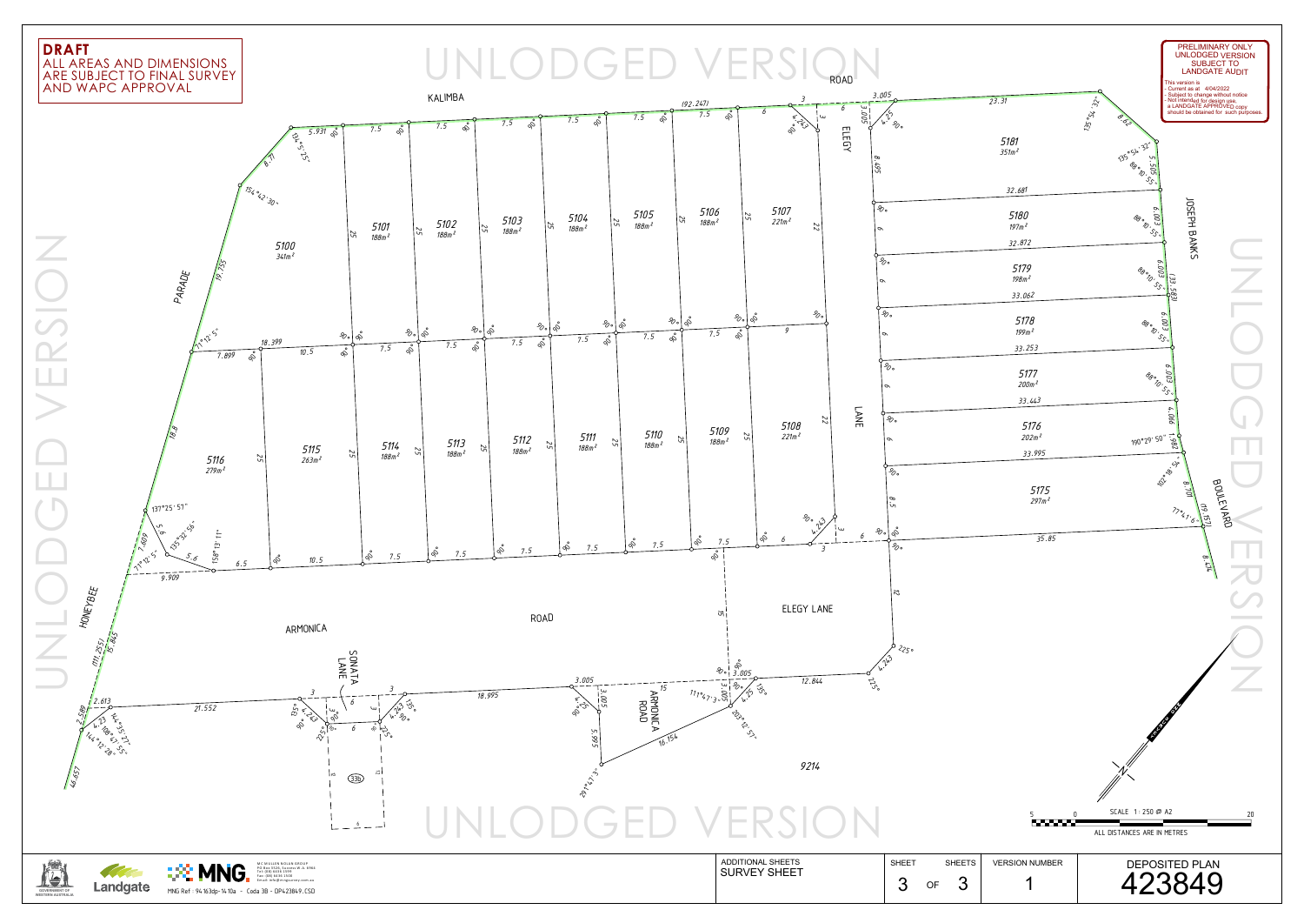# ARE SUBJECT TO FINAL SURVEY ALL AREAS AND DIMENSIONS